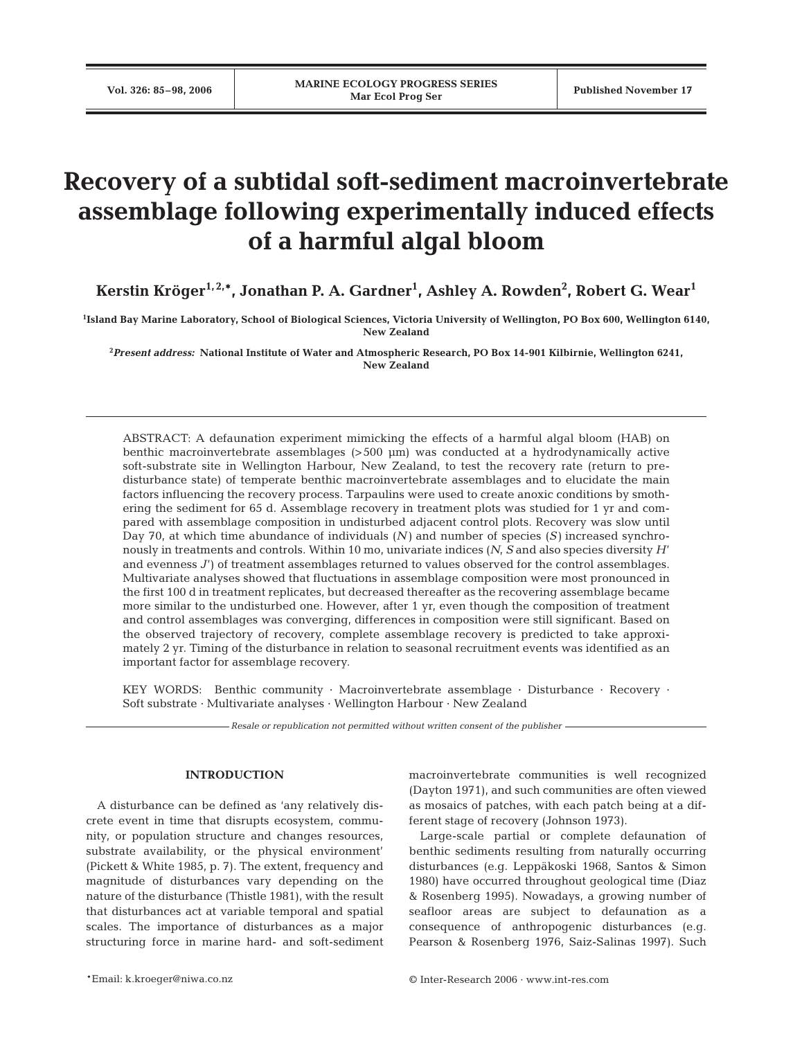# **Recovery of a subtidal soft-sediment macroinvertebrate assemblage following experimentally induced effects of a harmful algal bloom**

**Kerstin Kröger1, 2,\*, Jonathan P. A. Gardner1 , Ashley A. Rowden2 , Robert G. Wear1**

**1 Island Bay Marine Laboratory, School of Biological Sciences, Victoria University of Wellington, PO Box 600, Wellington 6140, New Zealand**

**2** *Present address:* **National Institute of Water and Atmospheric Research, PO Box 14-901 Kilbirnie, Wellington 6241, New Zealand**

ABSTRACT: A defaunation experiment mimicking the effects of a harmful algal bloom (HAB) on benthic macroinvertebrate assemblages (>500 µm) was conducted at a hydrodynamically active soft-substrate site in Wellington Harbour, New Zealand, to test the recovery rate (return to predisturbance state) of temperate benthic macroinvertebrate assemblages and to elucidate the main factors influencing the recovery process. Tarpaulins were used to create anoxic conditions by smothering the sediment for 65 d. Assemblage recovery in treatment plots was studied for 1 yr and compared with assemblage composition in undisturbed adjacent control plots. Recovery was slow until Day 70, at which time abundance of individuals (*N)* and number of species (*S)* increased synchronously in treatments and controls. Within 10 mo, univariate indices (*N*, *S* and also species diversity *H*' and evenness *J*') of treatment assemblages returned to values observed for the control assemblages. Multivariate analyses showed that fluctuations in assemblage composition were most pronounced in the first 100 d in treatment replicates, but decreased thereafter as the recovering assemblage became more similar to the undisturbed one. However, after 1 yr, even though the composition of treatment and control assemblages was converging, differences in composition were still significant. Based on the observed trajectory of recovery, complete assemblage recovery is predicted to take approximately 2 yr. Timing of the disturbance in relation to seasonal recruitment events was identified as an important factor for assemblage recovery.

KEY WORDS: Benthic community · Macroinvertebrate assemblage · Disturbance · Recovery · Soft substrate · Multivariate analyses · Wellington Harbour · New Zealand

*Resale or republication not permitted without written consent of the publisher*

# **INTRODUCTION**

A disturbance can be defined as 'any relatively discrete event in time that disrupts ecosystem, community, or population structure and changes resources, substrate availability, or the physical environment' (Pickett & White 1985, p. 7). The extent, frequency and magnitude of disturbances vary depending on the nature of the disturbance (Thistle 1981), with the result that disturbances act at variable temporal and spatial scales. The importance of disturbances as a major structuring force in marine hard- and soft-sediment macroinvertebrate communities is well recognized (Dayton 1971), and such communities are often viewed as mosaics of patches, with each patch being at a different stage of recovery (Johnson 1973).

Large-scale partial or complete defaunation of benthic sediments resulting from naturally occurring disturbances (e.g. Leppäkoski 1968, Santos & Simon 1980) have occurred throughout geological time (Diaz & Rosenberg 1995). Nowadays, a growing number of seafloor areas are subject to defaunation as a consequence of anthropogenic disturbances (e.g. Pearson & Rosenberg 1976, Saiz-Salinas 1997). Such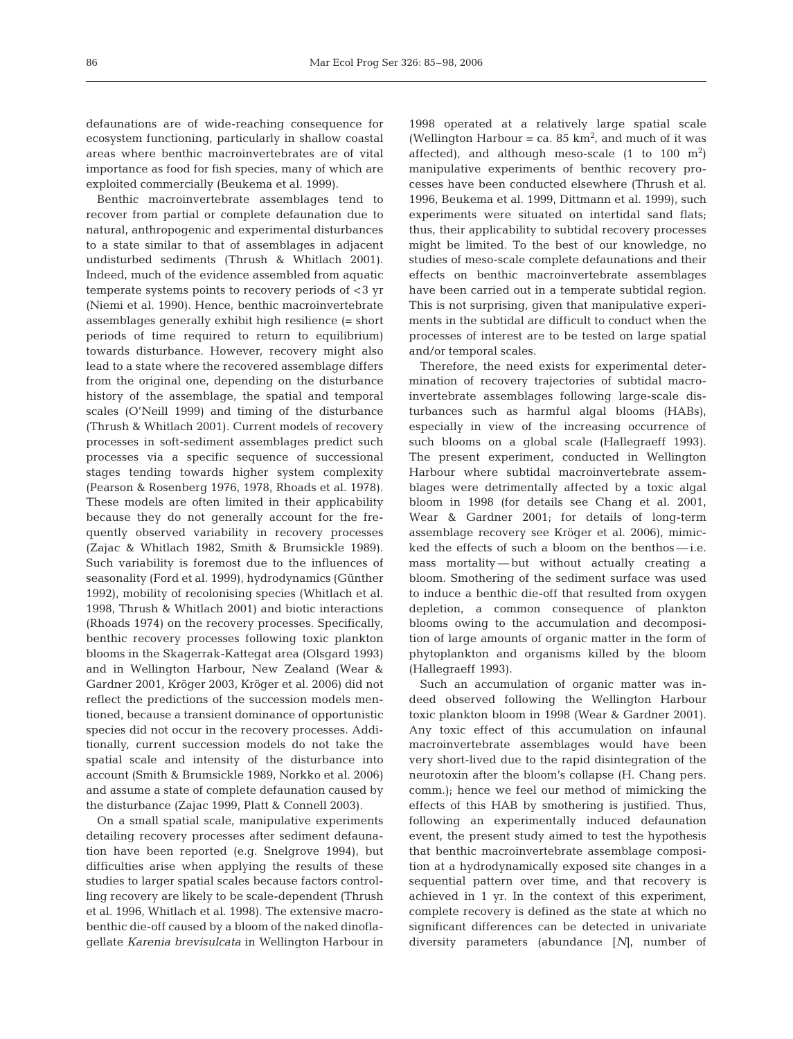defaunations are of wide-reaching consequence for ecosystem functioning, particularly in shallow coastal areas where benthic macroinvertebrates are of vital importance as food for fish species, many of which are exploited commercially (Beukema et al. 1999).

Benthic macroinvertebrate assemblages tend to recover from partial or complete defaunation due to natural, anthropogenic and experimental disturbances to a state similar to that of assemblages in adjacent undisturbed sediments (Thrush & Whitlach 2001). Indeed, much of the evidence assembled from aquatic temperate systems points to recovery periods of <3 yr (Niemi et al. 1990). Hence, benthic macroinvertebrate assemblages generally exhibit high resilience (= short periods of time required to return to equilibrium) towards disturbance. However, recovery might also lead to a state where the recovered assemblage differs from the original one, depending on the disturbance history of the assemblage, the spatial and temporal scales (O'Neill 1999) and timing of the disturbance (Thrush & Whitlach 2001). Current models of recovery processes in soft-sediment assemblages predict such processes via a specific sequence of successional stages tending towards higher system complexity (Pearson & Rosenberg 1976, 1978, Rhoads et al. 1978). These models are often limited in their applicability because they do not generally account for the frequently observed variability in recovery processes (Zajac & Whitlach 1982, Smith & Brumsickle 1989). Such variability is foremost due to the influences of seasonality (Ford et al. 1999), hydrodynamics (Günther 1992), mobility of recolonising species (Whitlach et al. 1998, Thrush & Whitlach 2001) and biotic interactions (Rhoads 1974) on the recovery processes. Specifically, benthic recovery processes following toxic plankton blooms in the Skagerrak-Kattegat area (Olsgard 1993) and in Wellington Harbour, New Zealand (Wear & Gardner 2001, Kröger 2003, Kröger et al. 2006) did not reflect the predictions of the succession models mentioned, because a transient dominance of opportunistic species did not occur in the recovery processes. Additionally, current succession models do not take the spatial scale and intensity of the disturbance into account (Smith & Brumsickle 1989, Norkko et al. 2006) and assume a state of complete defaunation caused by the disturbance (Zajac 1999, Platt & Connell 2003).

On a small spatial scale, manipulative experiments detailing recovery processes after sediment defaunation have been reported (e.g. Snelgrove 1994), but difficulties arise when applying the results of these studies to larger spatial scales because factors controlling recovery are likely to be scale-dependent (Thrush et al. 1996, Whitlach et al. 1998). The extensive macrobenthic die-off caused by a bloom of the naked dinoflagellate *Karenia brevisulcata* in Wellington Harbour in 1998 operated at a relatively large spatial scale (Wellington Harbour = ca. 85  $km^2$ , and much of it was affected), and although meso-scale  $(1 \text{ to } 100 \text{ m}^2)$ manipulative experiments of benthic recovery processes have been conducted elsewhere (Thrush et al. 1996, Beukema et al. 1999, Dittmann et al. 1999), such experiments were situated on intertidal sand flats; thus, their applicability to subtidal recovery processes might be limited. To the best of our knowledge, no studies of meso-scale complete defaunations and their effects on benthic macroinvertebrate assemblages have been carried out in a temperate subtidal region. This is not surprising, given that manipulative experiments in the subtidal are difficult to conduct when the processes of interest are to be tested on large spatial and/or temporal scales.

Therefore, the need exists for experimental determination of recovery trajectories of subtidal macroinvertebrate assemblages following large-scale disturbances such as harmful algal blooms (HABs), especially in view of the increasing occurrence of such blooms on a global scale (Hallegraeff 1993). The present experiment, conducted in Wellington Harbour where subtidal macroinvertebrate assemblages were detrimentally affected by a toxic algal bloom in 1998 (for details see Chang et al. 2001, Wear & Gardner 2001; for details of long-term assemblage recovery see Kröger et al. 2006), mimicked the effects of such a bloom on the benthos — i.e. mass mortality — but without actually creating a bloom. Smothering of the sediment surface was used to induce a benthic die-off that resulted from oxygen depletion, a common consequence of plankton blooms owing to the accumulation and decomposition of large amounts of organic matter in the form of phytoplankton and organisms killed by the bloom (Hallegraeff 1993).

Such an accumulation of organic matter was indeed observed following the Wellington Harbour toxic plankton bloom in 1998 (Wear & Gardner 2001). Any toxic effect of this accumulation on infaunal macroinvertebrate assemblages would have been very short-lived due to the rapid disintegration of the neurotoxin after the bloom's collapse (H. Chang pers. comm.); hence we feel our method of mimicking the effects of this HAB by smothering is justified. Thus, following an experimentally induced defaunation event, the present study aimed to test the hypothesis that benthic macroinvertebrate assemblage composition at a hydrodynamically exposed site changes in a sequential pattern over time, and that recovery is achieved in 1 yr. In the context of this experiment, complete recovery is defined as the state at which no significant differences can be detected in univariate diversity parameters (abundance [*N*], number of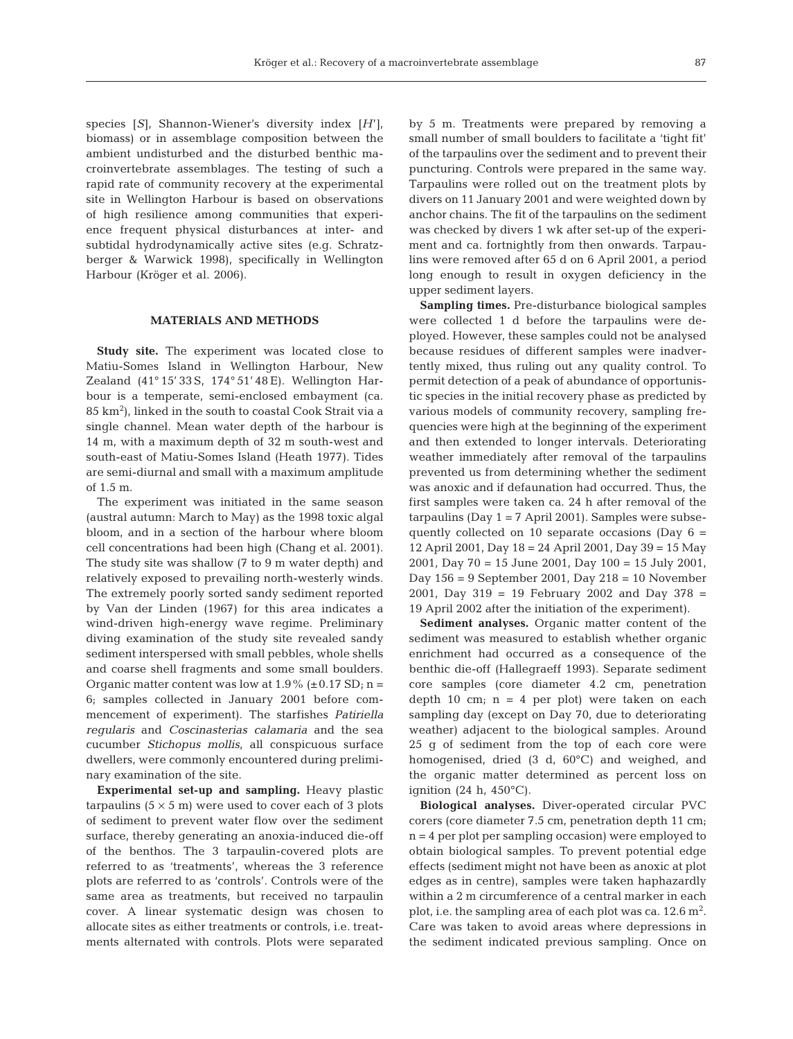species [*S*], Shannon-Wiener's diversity index [*H*'], biomass) or in assemblage composition between the ambient undisturbed and the disturbed benthic macroinvertebrate assemblages. The testing of such a rapid rate of community recovery at the experimental site in Wellington Harbour is based on observations of high resilience among communities that experience frequent physical disturbances at inter- and subtidal hydrodynamically active sites (e.g. Schratzberger & Warwick 1998), specifically in Wellington Harbour (Kröger et al. 2006).

## **MATERIALS AND METHODS**

**Study site.** The experiment was located close to Matiu-Somes Island in Wellington Harbour, New Zealand (41° 15' 33 S, 174° 51' 48 E). Wellington Harbour is a temperate, semi-enclosed embayment (ca. 85 km2 ), linked in the south to coastal Cook Strait via a single channel. Mean water depth of the harbour is 14 m, with a maximum depth of 32 m south-west and south-east of Matiu-Somes Island (Heath 1977). Tides are semi-diurnal and small with a maximum amplitude of 1.5 m.

The experiment was initiated in the same season (austral autumn: March to May) as the 1998 toxic algal bloom, and in a section of the harbour where bloom cell concentrations had been high (Chang et al. 2001). The study site was shallow (7 to 9 m water depth) and relatively exposed to prevailing north-westerly winds. The extremely poorly sorted sandy sediment reported by Van der Linden (1967) for this area indicates a wind-driven high-energy wave regime. Preliminary diving examination of the study site revealed sandy sediment interspersed with small pebbles, whole shells and coarse shell fragments and some small boulders. Organic matter content was low at  $1.9\%$  (±0.17 SD; n = 6; samples collected in January 2001 before commencement of experiment). The starfishes *Patiriella regularis* and *Coscinasterias calamaria* and the sea cucumber *Stichopus mollis*, all conspicuous surface dwellers, were commonly encountered during preliminary examination of the site.

**Experimental set-up and sampling.** Heavy plastic tarpaulins  $(5 \times 5 \text{ m})$  were used to cover each of 3 plots of sediment to prevent water flow over the sediment surface, thereby generating an anoxia-induced die-off of the benthos. The 3 tarpaulin-covered plots are referred to as 'treatments', whereas the 3 reference plots are referred to as 'controls'. Controls were of the same area as treatments, but received no tarpaulin cover. A linear systematic design was chosen to allocate sites as either treatments or controls, i.e. treatments alternated with controls. Plots were separated

by 5 m. Treatments were prepared by removing a small number of small boulders to facilitate a 'tight fit' of the tarpaulins over the sediment and to prevent their puncturing. Controls were prepared in the same way. Tarpaulins were rolled out on the treatment plots by divers on 11 January 2001 and were weighted down by anchor chains. The fit of the tarpaulins on the sediment was checked by divers 1 wk after set-up of the experiment and ca. fortnightly from then onwards. Tarpaulins were removed after 65 d on 6 April 2001, a period long enough to result in oxygen deficiency in the upper sediment layers.

**Sampling times***.* Pre-disturbance biological samples were collected 1 d before the tarpaulins were deployed. However, these samples could not be analysed because residues of different samples were inadvertently mixed, thus ruling out any quality control. To permit detection of a peak of abundance of opportunistic species in the initial recovery phase as predicted by various models of community recovery, sampling frequencies were high at the beginning of the experiment and then extended to longer intervals. Deteriorating weather immediately after removal of the tarpaulins prevented us from determining whether the sediment was anoxic and if defaunation had occurred. Thus, the first samples were taken ca. 24 h after removal of the tarpaulins (Day  $1 = 7$  April 2001). Samples were subsequently collected on 10 separate occasions (Day  $6 =$ 12 April 2001, Day 18 = 24 April 2001, Day 39 = 15 May 2001, Day 70 = 15 June 2001, Day 100 = 15 July 2001, Day 156 = 9 September 2001, Day 218 = 10 November 2001, Day 319 = 19 February 2002 and Day 378 = 19 April 2002 after the initiation of the experiment).

**Sediment analyses.** Organic matter content of the sediment was measured to establish whether organic enrichment had occurred as a consequence of the benthic die-off (Hallegraeff 1993). Separate sediment core samples (core diameter 4.2 cm, penetration depth 10 cm;  $n = 4$  per plot) were taken on each sampling day (except on Day 70, due to deteriorating weather) adjacent to the biological samples. Around 25 g of sediment from the top of each core were homogenised, dried (3 d, 60°C) and weighed, and the organic matter determined as percent loss on ignition  $(24 \text{ h}, 450^{\circ}\text{C})$ .

**Biological analyses.** Diver-operated circular PVC corers (core diameter 7.5 cm, penetration depth 11 cm; n = 4 per plot per sampling occasion) were employed to obtain biological samples. To prevent potential edge effects (sediment might not have been as anoxic at plot edges as in centre), samples were taken haphazardly within a 2 m circumference of a central marker in each plot, i.e. the sampling area of each plot was ca.  $12.6 \text{ m}^2$ . Care was taken to avoid areas where depressions in the sediment indicated previous sampling. Once on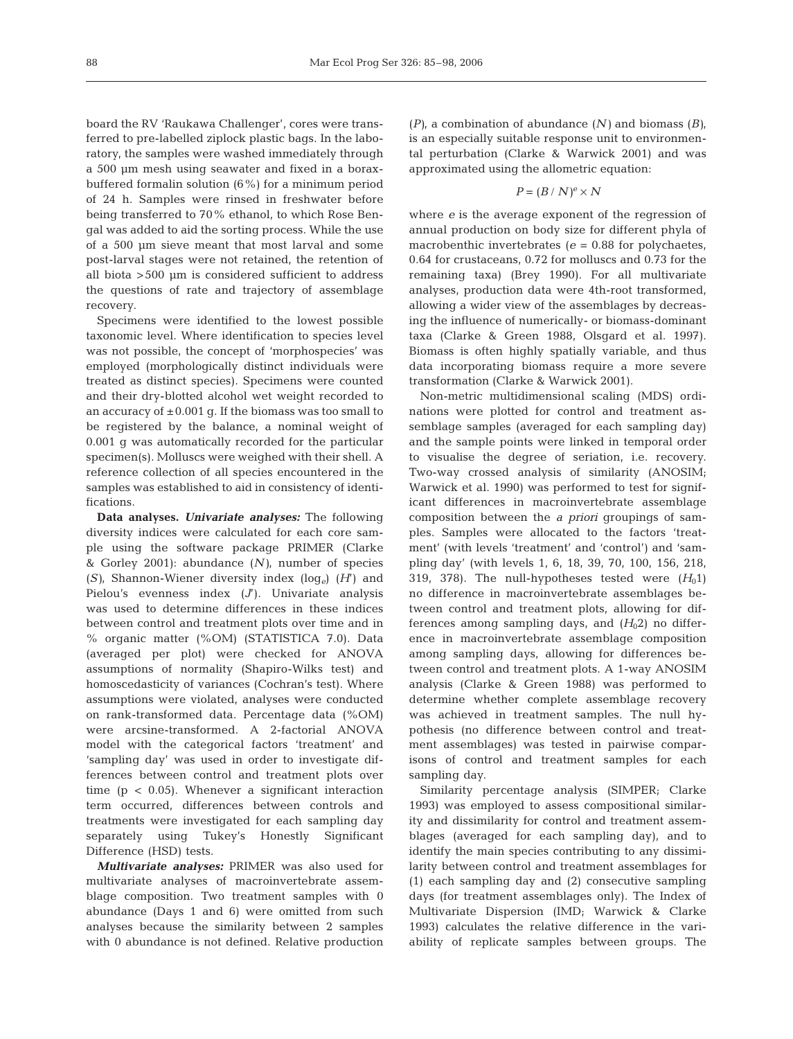board the RV 'Raukawa Challenger', cores were transferred to pre-labelled ziplock plastic bags. In the laboratory, the samples were washed immediately through a 500 µm mesh using seawater and fixed in a boraxbuffered formalin solution (6%) for a minimum period of 24 h. Samples were rinsed in freshwater before being transferred to 70% ethanol, to which Rose Bengal was added to aid the sorting process. While the use of a 500 µm sieve meant that most larval and some post-larval stages were not retained, the retention of all biota >500 µm is considered sufficient to address the questions of rate and trajectory of assemblage recovery.

Specimens were identified to the lowest possible taxonomic level. Where identification to species level was not possible, the concept of 'morphospecies' was employed (morphologically distinct individuals were treated as distinct species). Specimens were counted and their dry-blotted alcohol wet weight recorded to an accuracy of  $\pm 0.001$  g. If the biomass was too small to be registered by the balance, a nominal weight of 0.001 g was automatically recorded for the particular specimen(s). Molluscs were weighed with their shell. A reference collection of all species encountered in the samples was established to aid in consistency of identifications.

**Data analyses.** *Univariate analyses:* The following diversity indices were calculated for each core sample using the software package PRIMER (Clarke & Gorley 2001): abundance (*N)*, number of species (*S)*, Shannon-Wiener diversity index (log*e*) (*H*') and Pielou's evenness index (*J*'). Univariate analysis was used to determine differences in these indices between control and treatment plots over time and in % organic matter (%OM) (STATISTICA 7.0). Data (averaged per plot) were checked for ANOVA assumptions of normality (Shapiro-Wilks test) and homoscedasticity of variances (Cochran's test). Where assumptions were violated, analyses were conducted on rank-transformed data. Percentage data (%OM) were arcsine-transformed. A 2-factorial ANOVA model with the categorical factors 'treatment' and 'sampling day' was used in order to investigate differences between control and treatment plots over time ( $p < 0.05$ ). Whenever a significant interaction term occurred, differences between controls and treatments were investigated for each sampling day separately using Tukey's Honestly Significant Difference (HSD) tests.

*Multivariate analyses:* PRIMER was also used for multivariate analyses of macroinvertebrate assemblage composition. Two treatment samples with 0 abundance (Days 1 and 6) were omitted from such analyses because the similarity between 2 samples with 0 abundance is not defined. Relative production (*P)*, a combination of abundance (*N)* and biomass (*B)*, is an especially suitable response unit to environmental perturbation (Clarke & Warwick 2001) and was approximated using the allometric equation:

$$
P = (B / N)^e \times N
$$

where *e* is the average exponent of the regression of annual production on body size for different phyla of macrobenthic invertebrates ( $e = 0.88$  for polychaetes, 0.64 for crustaceans, 0.72 for molluscs and 0.73 for the remaining taxa) (Brey 1990). For all multivariate analyses, production data were 4th-root transformed, allowing a wider view of the assemblages by decreasing the influence of numerically- or biomass-dominant taxa (Clarke & Green 1988, Olsgard et al. 1997). Biomass is often highly spatially variable, and thus data incorporating biomass require a more severe transformation (Clarke & Warwick 2001).

Non-metric multidimensional scaling (MDS) ordinations were plotted for control and treatment assemblage samples (averaged for each sampling day) and the sample points were linked in temporal order to visualise the degree of seriation, i.e. recovery. Two-way crossed analysis of similarity (ANOSIM; Warwick et al. 1990) was performed to test for significant differences in macroinvertebrate assemblage composition between the *a priori* groupings of samples. Samples were allocated to the factors 'treatment' (with levels 'treatment' and 'control') and 'sampling day' (with levels 1, 6, 18, 39, 70, 100, 156, 218, 319, 378). The null-hypotheses tested were  $(H<sub>0</sub>1)$ no difference in macroinvertebrate assemblages between control and treatment plots, allowing for differences among sampling days, and  $(H<sub>0</sub>2)$  no difference in macroinvertebrate assemblage composition among sampling days, allowing for differences between control and treatment plots. A 1-way ANOSIM analysis (Clarke & Green 1988) was performed to determine whether complete assemblage recovery was achieved in treatment samples. The null hypothesis (no difference between control and treatment assemblages) was tested in pairwise comparisons of control and treatment samples for each sampling day.

Similarity percentage analysis (SIMPER; Clarke 1993) was employed to assess compositional similarity and dissimilarity for control and treatment assemblages (averaged for each sampling day), and to identify the main species contributing to any dissimilarity between control and treatment assemblages for (1) each sampling day and (2) consecutive sampling days (for treatment assemblages only). The Index of Multivariate Dispersion (IMD; Warwick & Clarke 1993) calculates the relative difference in the variability of replicate samples between groups. The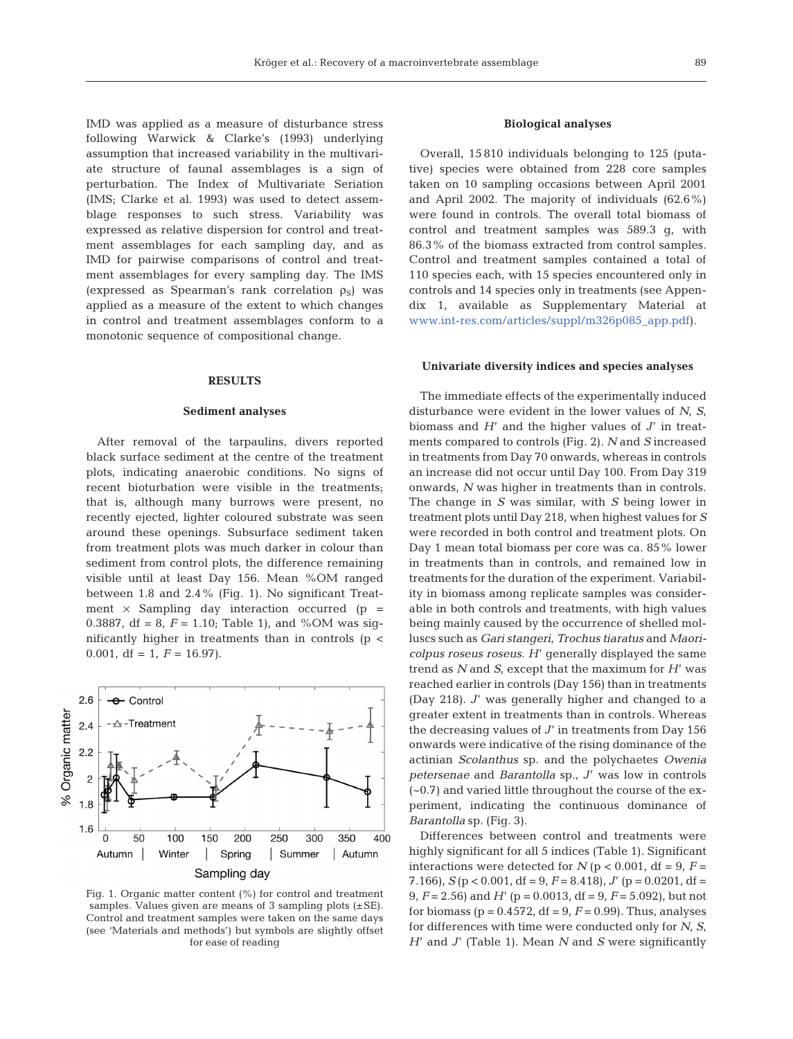IMD was applied as a measure of disturbance stress following Warwick & Clarke's (1993) underlying assumption that increased variability in the multivariate structure of faunal assemblages is a sign of perturbation. The Index of Multivariate Seriation (IMS; Clarke et al. 1993) was used to detect assemblage responses to such stress. Variability was expressed as relative dispersion for control and treatment assemblages for each sampling day, and as IMD for pairwise comparisons of control and treatment assemblages for every sampling day. The IMS (expressed as Spearman's rank correlation  $\rho_S$ ) was applied as a measure of the extent to which changes in control and treatment assemblages conform to a monotonic sequence of compositional change.

#### **RESULTS**

### **Sediment analyses**

After removal of the tarpaulins, divers reported black surface sediment at the centre of the treatment plots, indicating anaerobic conditions. No signs of recent bioturbation were visible in the treatments; that is, although many burrows were present, no recently ejected, lighter coloured substrate was seen around these openings. Subsurface sediment taken from treatment plots was much darker in colour than sediment from control plots, the difference remaining visible until at least Day 156. Mean %OM ranged between 1.8 and 2.4% (Fig. 1). No significant Treatment  $\times$  Sampling day interaction occurred (p = 0.3887, df = 8,  $F = 1.10$ ; Table 1), and %OM was significantly higher in treatments than in controls (p < 0.001, df = 1,  $F = 16.97$ .



Fig. 1. Organic matter content (%) for control and treatment samples. Values given are means of 3 sampling plots  $(\pm SE)$ . Control and treatment samples were taken on the same days (see 'Materials and methods') but symbols are slightly offset for ease of reading

## **Biological analyses**

Overall, 15 810 individuals belonging to 125 (putative) species were obtained from 228 core samples taken on 10 sampling occasions between April 2001 and April 2002. The majority of individuals (62.6%) were found in controls. The overall total biomass of control and treatment samples was 589.3 g, with 86.3% of the biomass extracted from control samples. Control and treatment samples contained a total of 110 species each, with 15 species encountered only in controls and 14 species only in treatments (see Appendix 1, available as Supplementary Material at www.int-res.com/articles/suppl/m326p085\_app.pdf).

#### **Univariate diversity indices and species analyses**

The immediate effects of the experimentally induced disturbance were evident in the lower values of *N*, *S*, biomass and *H*' and the higher values of *J*' in treatments compared to controls (Fig. 2). *N* and *S* increased in treatments from Day 70 onwards, whereas in controls an increase did not occur until Day 100. From Day 319 onwards, *N* was higher in treatments than in controls. The change in *S* was similar, with *S* being lower in treatment plots until Day 218, when highest values for *S* were recorded in both control and treatment plots. On Day 1 mean total biomass per core was ca. 85% lower in treatments than in controls, and remained low in treatments for the duration of the experiment. Variability in biomass among replicate samples was considerable in both controls and treatments, with high values being mainly caused by the occurrence of shelled molluscs such as *Gari stangeri*, *Trochus tiaratus* and *Maoricolpus roseus roseus*. *H*' generally displayed the same trend as *N* and *S*, except that the maximum for *H*' was reached earlier in controls (Day 156) than in treatments (Day 218). *J*' was generally higher and changed to a greater extent in treatments than in controls. Whereas the decreasing values of *J*' in treatments from Day 156 onwards were indicative of the rising dominance of the actinian *Scolanthus* sp. and the polychaetes *Owenia petersenae* and *Barantolla* sp., *J*' was low in controls (~0.7) and varied little throughout the course of the experiment, indicating the continuous dominance of *Barantolla* sp. (Fig. 3).

Differences between control and treatments were highly significant for all 5 indices (Table 1). Significant interactions were detected for  $N$  ( $p < 0.001$ , df = 9,  $F =$ 7.166), *S* ( $p < 0.001$ , df = 9,  $F = 8.418$ ), *J'* ( $p = 0.0201$ , df = 9, *F* = 2.56) and *H*' (p = 0.0013, df = 9, *F* = 5.092), but not for biomass ( $p = 0.4572$ ,  $df = 9$ ,  $F = 0.99$ ). Thus, analyses for differences with time were conducted only for *N*, *S*, *H*' and *J*' (Table 1). Mean *N* and *S* were significantly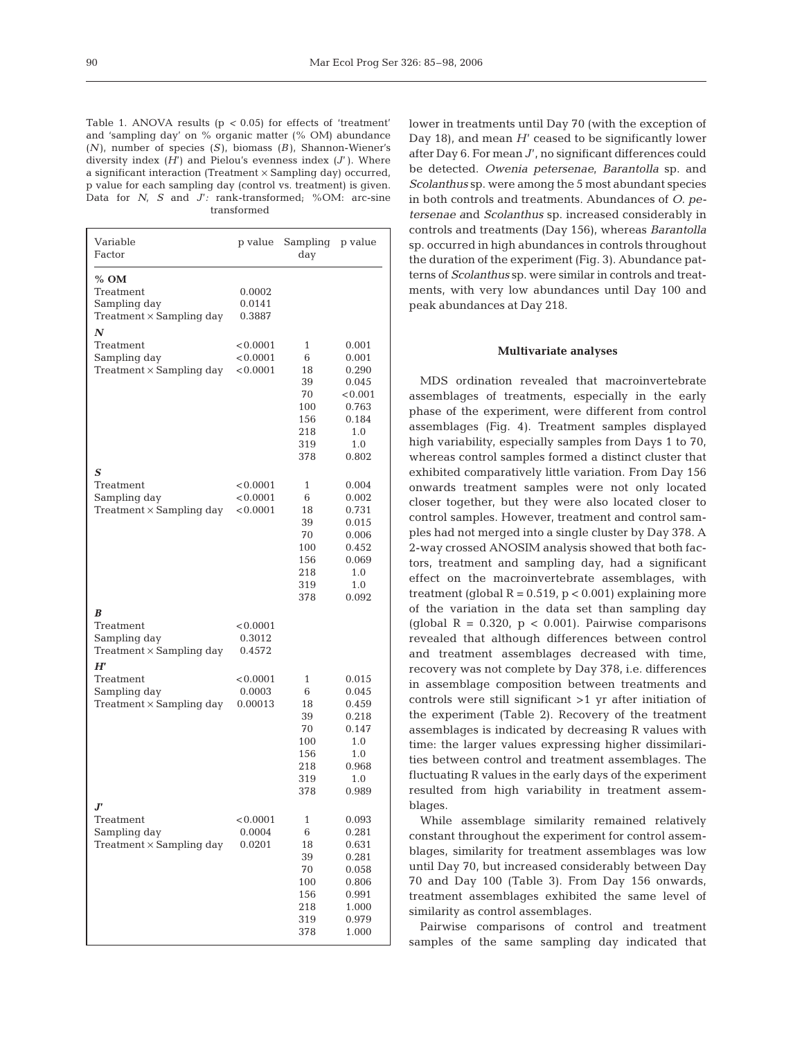Table 1. ANOVA results (p *<* 0.05) for effects of 'treatment' and 'sampling day' on % organic matter (% OM) abundance (*N* ), number of species (*S* ), biomass (*B* ), Shannon-Wiener's diversity index (*H*') and Pielou's evenness index (*J*' ). Where a significant interaction (Treatment  $\times$  Sampling day) occurred, p value for each sampling day (control vs. treatment) is given. Data for *N*, *S* and *J*'*:* rank-transformed; %OM: arc-sine transformed

| Variable<br>Factor                                                                | p value                          | Sampling<br>day                                                        | p value                                                                                |
|-----------------------------------------------------------------------------------|----------------------------------|------------------------------------------------------------------------|----------------------------------------------------------------------------------------|
| $%$ OM<br>Treatment<br>Sampling day<br>Treatment $\times$ Sampling day            | 0.0002<br>0.0141<br>0.3887       |                                                                        |                                                                                        |
| N<br>Treatment<br>Sampling day<br>Treatment $\times$ Sampling day                 | < 0.0001<br>< 0.0001<br>< 0.0001 | 1<br>6<br>18<br>39<br>70<br>100<br>156<br>218<br>319<br>378            | 0.001<br>0.001<br>0.290<br>0.045<br>< 0.001<br>0.763<br>0.184<br>1.0<br>1.0<br>0.802   |
| S<br>Treatment<br>Sampling day<br>Treatment $\times$ Sampling day                 | < 0.0001<br>< 0.0001<br>< 0.0001 | 1<br>6<br>18<br>39<br>70<br>100<br>156<br>218<br>319<br>378            | 0.004<br>0.002<br>0.731<br>0.015<br>0.006<br>0.452<br>0.069<br>1.0<br>1.0<br>0.092     |
| B<br>Treatment<br>Sampling day<br>$Treatment \times Sampling$ day                 | < 0.0001<br>0.3012<br>0.4572     |                                                                        |                                                                                        |
| $H^{\prime}$<br>Treatment<br>Sampling day<br>Treatment $\times$ Sampling day      | < 0.0001<br>0.0003<br>0.00013    | 1<br>6<br>18<br>39<br>70<br>100<br>156<br>218<br>319<br>378            | 0.015<br>0.045<br>0.459<br>0.218<br>0.147<br>1.0<br>$1.0\,$<br>0.968<br>1.0<br>0.989   |
| $\bm{J}^{\bm{r}}$<br>Treatment<br>Sampling day<br>$Treatment \times Sampling$ day | < 0.0001<br>0.0004<br>0.0201     | $\mathbf{1}$<br>6<br>18<br>39<br>70<br>100<br>156<br>218<br>319<br>378 | 0.093<br>0.281<br>0.631<br>0.281<br>0.058<br>0.806<br>0.991<br>1.000<br>0.979<br>1.000 |

lower in treatments until Day 70 (with the exception of Day 18), and mean *H*' ceased to be significantly lower after Day 6. For mean *J*', no significant differences could be detected. *Owenia petersenae*, *Barantolla* sp. and *Scolanthus* sp. were among the 5 most abundant species in both controls and treatments. Abundances of *O. petersenae a*nd *Scolanthus* sp. increased considerably in controls and treatments (Day 156), whereas *Barantolla* sp. occurred in high abundances in controls throughout the duration of the experiment (Fig. 3). Abundance patterns of *Scolanthus* sp. were similar in controls and treatments, with very low abundances until Day 100 and peak abundances at Day 218.

#### **Multivariate analyses**

MDS ordination revealed that macroinvertebrate assemblages of treatments, especially in the early phase of the experiment, were different from control assemblages (Fig. 4). Treatment samples displayed high variability, especially samples from Days 1 to 70, whereas control samples formed a distinct cluster that exhibited comparatively little variation. From Day 156 onwards treatment samples were not only located closer together, but they were also located closer to control samples. However, treatment and control samples had not merged into a single cluster by Day 378. A 2-way crossed ANOSIM analysis showed that both factors, treatment and sampling day, had a significant effect on the macroinvertebrate assemblages, with treatment (global  $R = 0.519$ ,  $p < 0.001$ ) explaining more of the variation in the data set than sampling day (global  $R = 0.320$ ,  $p < 0.001$ ). Pairwise comparisons revealed that although differences between control and treatment assemblages decreased with time, recovery was not complete by Day 378, i.e. differences in assemblage composition between treatments and controls were still significant >1 yr after initiation of the experiment (Table 2). Recovery of the treatment assemblages is indicated by decreasing R values with time: the larger values expressing higher dissimilarities between control and treatment assemblages. The fluctuating R values in the early days of the experiment resulted from high variability in treatment assemblages.

While assemblage similarity remained relatively constant throughout the experiment for control assemblages, similarity for treatment assemblages was low until Day 70, but increased considerably between Day 70 and Day 100 (Table 3). From Day 156 onwards, treatment assemblages exhibited the same level of similarity as control assemblages.

Pairwise comparisons of control and treatment samples of the same sampling day indicated that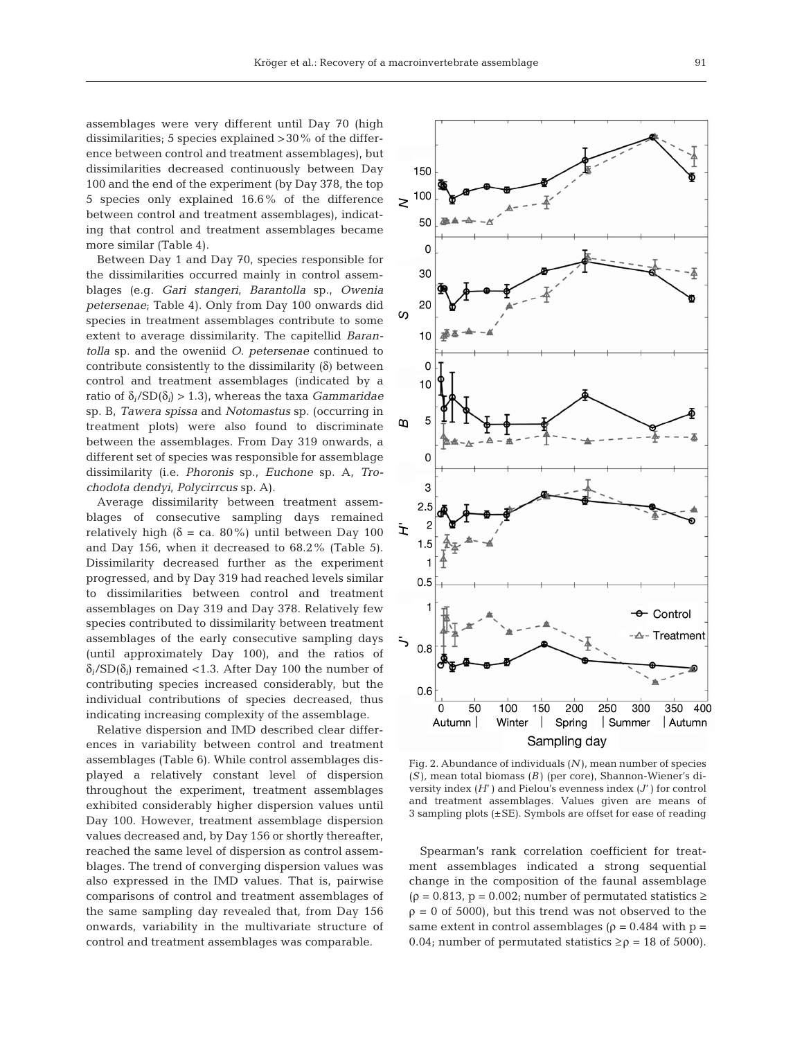assemblages were very different until Day 70 (high dissimilarities; 5 species explained >30% of the difference between control and treatment assemblages), but dissimilarities decreased continuously between Day 100 and the end of the experiment (by Day 378, the top 5 species only explained 16.6% of the difference between control and treatment assemblages), indicating that control and treatment assemblages became more similar (Table 4).

Between Day 1 and Day 70, species responsible for the dissimilarities occurred mainly in control assemblages (e.g. *Gari stangeri*, *Barantolla* sp., *Owenia petersenae*; Table 4). Only from Day 100 onwards did species in treatment assemblages contribute to some extent to average dissimilarity. The capitellid *Barantolla* sp. and the oweniid *O. petersenae* continued to contribute consistently to the dissimilarity  $(\delta)$  between control and treatment assemblages (indicated by a ratio of δ*i*/SD(δ*i*) > 1.3), whereas the taxa *Gammaridae* sp. B, *Tawera spissa* and *Notomastus* sp. (occurring in treatment plots) were also found to discriminate between the assemblages. From Day 319 onwards, a different set of species was responsible for assemblage dissimilarity (i.e. *Phoronis* sp., *Euchone* sp. A, *Trochodota dendyi*, *Polycirrcus* sp. A).

Average dissimilarity between treatment assemblages of consecutive sampling days remained relatively high ( $\delta$  = ca. 80%) until between Day 100 and Day 156, when it decreased to 68.2% (Table 5). Dissimilarity decreased further as the experiment progressed, and by Day 319 had reached levels similar to dissimilarities between control and treatment assemblages on Day 319 and Day 378. Relatively few species contributed to dissimilarity between treatment assemblages of the early consecutive sampling days (until approximately Day 100), and the ratios of δ*i*/SD(δ*i*) remained <1.3. After Day 100 the number of contributing species increased considerably, but the individual contributions of species decreased, thus indicating increasing complexity of the assemblage.

Relative dispersion and IMD described clear differences in variability between control and treatment assemblages (Table 6). While control assemblages displayed a relatively constant level of dispersion throughout the experiment, treatment assemblages exhibited considerably higher dispersion values until Day 100. However, treatment assemblage dispersion values decreased and, by Day 156 or shortly thereafter, reached the same level of dispersion as control assemblages. The trend of converging dispersion values was also expressed in the IMD values. That is, pairwise comparisons of control and treatment assemblages of the same sampling day revealed that, from Day 156 onwards, variability in the multivariate structure of control and treatment assemblages was comparable.



Fig. 2. Abundance of individuals (*N* ), mean number of species (*S* )*,* mean total biomass (*B* ) (per core), Shannon-Wiener's diversity index (*H*' ) and Pielou's evenness index (*J*' ) for control and treatment assemblages. Values given are means of 3 sampling plots (±SE). Symbols are offset for ease of reading

Spearman's rank correlation coefficient for treatment assemblages indicated a strong sequential change in the composition of the faunal assemblage  $(\rho = 0.813, p = 0.002;$  number of permutated statistics  $\geq$  $\rho = 0$  of 5000), but this trend was not observed to the same extent in control assemblages ( $\rho = 0.484$  with  $p =$ 0.04; number of permutated statistics  $\geq \rho = 18$  of 5000).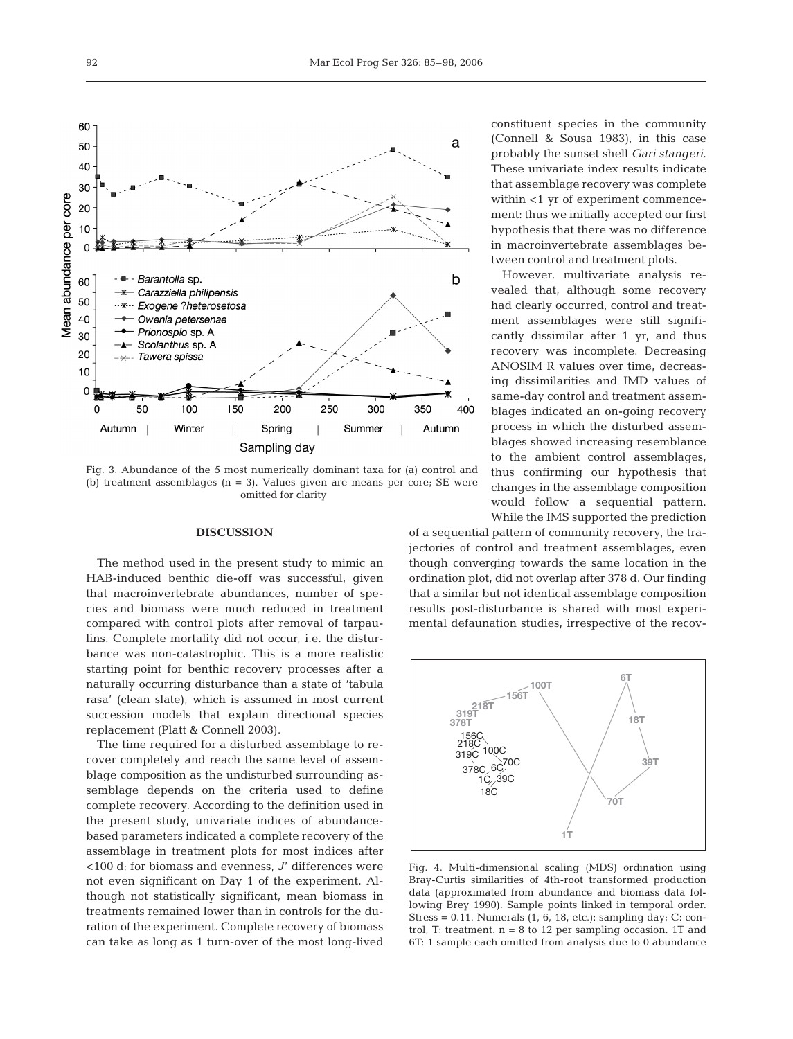

Fig. 3. Abundance of the 5 most numerically dominant taxa for (a) control and (b) treatment assemblages  $(n = 3)$ . Values given are means per core; SE were omitted for clarity

#### **DISCUSSION**

The method used in the present study to mimic an HAB-induced benthic die-off was successful, given that macroinvertebrate abundances, number of species and biomass were much reduced in treatment compared with control plots after removal of tarpaulins. Complete mortality did not occur, i.e. the disturbance was non-catastrophic. This is a more realistic starting point for benthic recovery processes after a naturally occurring disturbance than a state of 'tabula rasa' (clean slate), which is assumed in most current succession models that explain directional species replacement (Platt & Connell 2003).

The time required for a disturbed assemblage to recover completely and reach the same level of assemblage composition as the undisturbed surrounding assemblage depends on the criteria used to define complete recovery. According to the definition used in the present study, univariate indices of abundancebased parameters indicated a complete recovery of the assemblage in treatment plots for most indices after <100 d; for biomass and evenness, *J*' differences were not even significant on Day 1 of the experiment. Although not statistically significant, mean biomass in treatments remained lower than in controls for the duration of the experiment. Complete recovery of biomass can take as long as 1 turn-over of the most long-lived

constituent species in the community (Connell & Sousa 1983), in this case probably the sunset shell *Gari stangeri*. These univariate index results indicate that assemblage recovery was complete within <1 yr of experiment commencement: thus we initially accepted our first hypothesis that there was no difference in macroinvertebrate assemblages between control and treatment plots.

However, multivariate analysis revealed that, although some recovery had clearly occurred, control and treatment assemblages were still significantly dissimilar after 1 yr, and thus recovery was incomplete. Decreasing ANOSIM R values over time, decreasing dissimilarities and IMD values of same-day control and treatment assemblages indicated an on-going recovery process in which the disturbed assemblages showed increasing resemblance to the ambient control assemblages, thus confirming our hypothesis that changes in the assemblage composition would follow a sequential pattern. While the IMS supported the prediction

of a sequential pattern of community recovery, the trajectories of control and treatment assemblages, even though converging towards the same location in the ordination plot, did not overlap after 378 d. Our finding that a similar but not identical assemblage composition results post-disturbance is shared with most experimental defaunation studies, irrespective of the recov-



Fig. 4. Multi-dimensional scaling (MDS) ordination using Bray-Curtis similarities of 4th-root transformed production data (approximated from abundance and biomass data following Brey 1990). Sample points linked in temporal order. Stress =  $0.11$ . Numerals  $(1, 6, 18, \text{etc.})$ : sampling day; C: control, T: treatment.  $n = 8$  to 12 per sampling occasion. 1T and 6T: 1 sample each omitted from analysis due to 0 abundance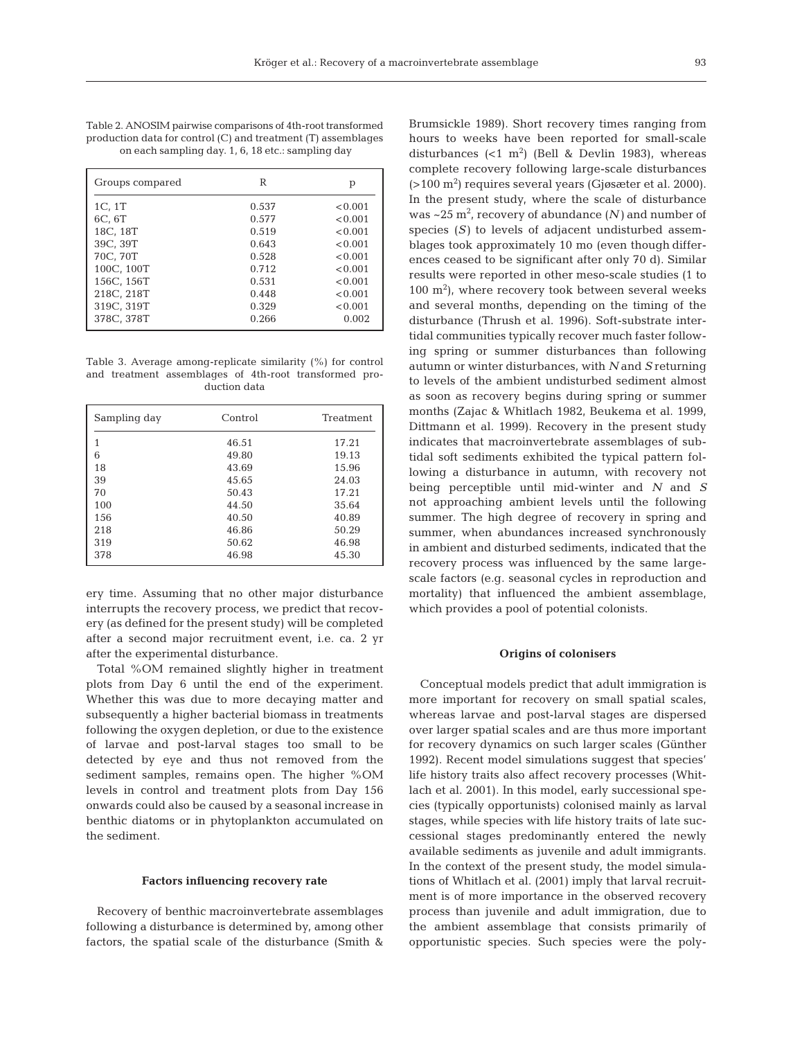Table 2. ANOSIM pairwise comparisons of 4th-root transformed production data for control (C) and treatment (T) assemblages on each sampling day. 1, 6, 18 etc.: sampling day

| Groups compared | R     | р       |
|-----------------|-------|---------|
| 1C, 1T          | 0.537 | < 0.001 |
| 6C, 6T          | 0.577 | < 0.001 |
| 18C, 18T        | 0.519 | < 0.001 |
| 39C, 39T        | 0.643 | < 0.001 |
| 70C, 70T        | 0.528 | < 0.001 |
| 100C, 100T      | 0.712 | < 0.001 |
| 156C, 156T      | 0.531 | < 0.001 |
| 218C, 218T      | 0.448 | < 0.001 |
| 319C, 319T      | 0.329 | < 0.001 |
| 378C, 378T      | 0.266 | 0.002   |

Table 3. Average among-replicate similarity (%) for control and treatment assemblages of 4th-root transformed production data

| Sampling day | Control | Treatment |
|--------------|---------|-----------|
| 1            | 46.51   | 17.21     |
| 6            | 49.80   | 19.13     |
| 18           | 43.69   | 15.96     |
| 39           | 45.65   | 24.03     |
| 70           | 50.43   | 17.21     |
| 100          | 44.50   | 35.64     |
| 156          | 40.50   | 40.89     |
| 218          | 46.86   | 50.29     |
| 319          | 50.62   | 46.98     |
| 378          | 46.98   | 45.30     |

ery time. Assuming that no other major disturbance interrupts the recovery process, we predict that recovery (as defined for the present study) will be completed after a second major recruitment event, i.e. ca. 2 yr after the experimental disturbance.

Total %OM remained slightly higher in treatment plots from Day 6 until the end of the experiment. Whether this was due to more decaying matter and subsequently a higher bacterial biomass in treatments following the oxygen depletion, or due to the existence of larvae and post-larval stages too small to be detected by eye and thus not removed from the sediment samples, remains open. The higher %OM levels in control and treatment plots from Day 156 onwards could also be caused by a seasonal increase in benthic diatoms or in phytoplankton accumulated on the sediment.

#### **Factors influencing recovery rate**

Recovery of benthic macroinvertebrate assemblages following a disturbance is determined by, among other factors, the spatial scale of the disturbance (Smith &

Brumsickle 1989). Short recovery times ranging from hours to weeks have been reported for small-scale disturbances  $\left($ <1 m<sup>2</sup> $\right)$  (Bell & Devlin 1983), whereas complete recovery following large-scale disturbances (>100 m2 ) requires several years (Gjøsæter et al. 2000). In the present study, where the scale of disturbance was  $\sim$ 25 m<sup>2</sup>, recovery of abundance (N) and number of species (*S*) to levels of adjacent undisturbed assemblages took approximately 10 mo (even though differences ceased to be significant after only 70 d). Similar results were reported in other meso-scale studies (1 to  $100 \text{ m}^2$ ), where recovery took between several weeks and several months, depending on the timing of the disturbance (Thrush et al. 1996). Soft-substrate intertidal communities typically recover much faster following spring or summer disturbances than following autumn or winter disturbances, with *N* and *S* returning to levels of the ambient undisturbed sediment almost as soon as recovery begins during spring or summer months (Zajac & Whitlach 1982, Beukema et al. 1999, Dittmann et al. 1999). Recovery in the present study indicates that macroinvertebrate assemblages of subtidal soft sediments exhibited the typical pattern following a disturbance in autumn, with recovery not being perceptible until mid-winter and *N* and *S* not approaching ambient levels until the following summer. The high degree of recovery in spring and summer, when abundances increased synchronously in ambient and disturbed sediments, indicated that the recovery process was influenced by the same largescale factors (e.g. seasonal cycles in reproduction and mortality) that influenced the ambient assemblage, which provides a pool of potential colonists.

#### **Origins of colonisers**

Conceptual models predict that adult immigration is more important for recovery on small spatial scales, whereas larvae and post-larval stages are dispersed over larger spatial scales and are thus more important for recovery dynamics on such larger scales (Günther 1992). Recent model simulations suggest that species' life history traits also affect recovery processes (Whitlach et al. 2001). In this model, early successional species (typically opportunists) colonised mainly as larval stages, while species with life history traits of late successional stages predominantly entered the newly available sediments as juvenile and adult immigrants. In the context of the present study, the model simulations of Whitlach et al. (2001) imply that larval recruitment is of more importance in the observed recovery process than juvenile and adult immigration, due to the ambient assemblage that consists primarily of opportunistic species. Such species were the poly-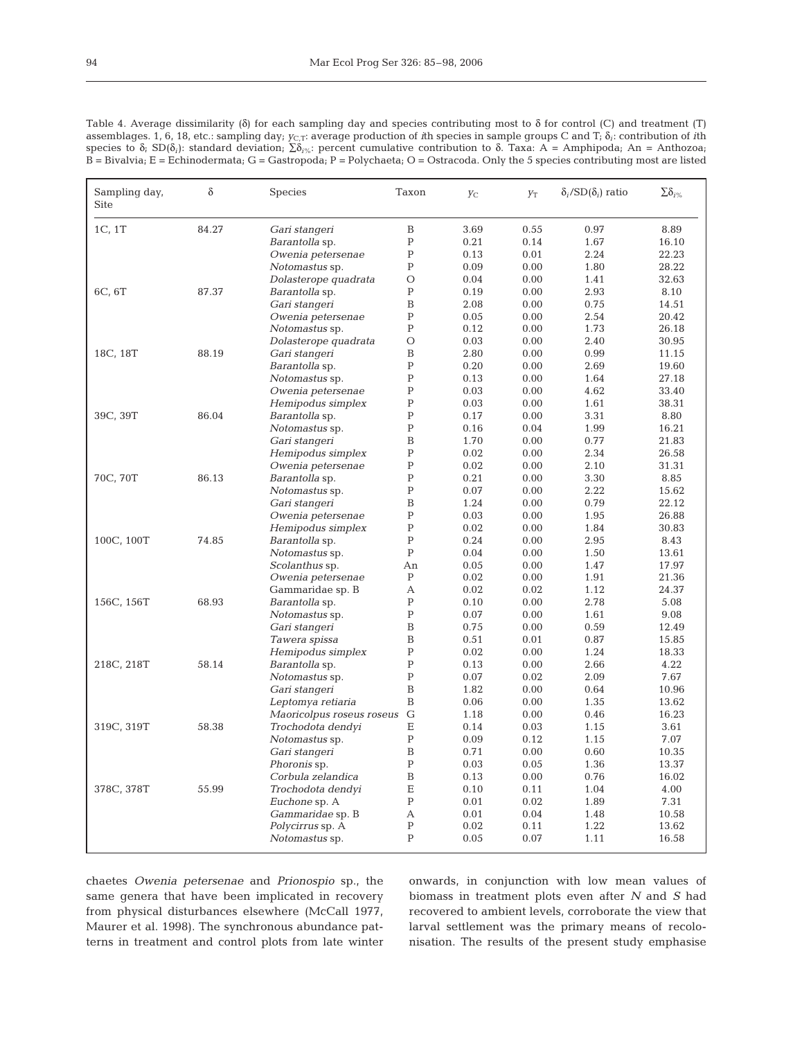| ٠                 |   |
|-------------------|---|
| ×                 | ٦ |
| ۰,<br>I<br>$\sim$ |   |
|                   |   |

| Table 4. Average dissimilarity ( $\delta$ ) for each sampling day and species contributing most to $\delta$ for control (C) and treatment (T)                            |
|--------------------------------------------------------------------------------------------------------------------------------------------------------------------------|
| assemblages. 1, 6, 18, etc.: sampling day; $y_{C,T}$ : average production of ith species in sample groups C and T; $\delta_i$ : contribution of ith                      |
| species to $\delta_i$ ; SD( $\delta_i$ ): standard deviation; $\sum \delta_i \phi_k$ : percent cumulative contribution to $\delta$ . Taxa: A = Amphipoda; An = Anthozoa; |
| $B = Bi$ valvia; E = Echinodermata; G = Gastropoda; P = Polychaeta; O = Ostracoda. Only the 5 species contributing most are listed                                       |

| Sampling day,<br>Site | $\delta$ | <b>Species</b>            | Taxon        | Уc   | $Y_{\rm T}$ | $\delta_i$ /SD $(\delta_i)$ ratio | $\sum \delta_{i\%}$ |
|-----------------------|----------|---------------------------|--------------|------|-------------|-----------------------------------|---------------------|
| 1C, 1T                | 84.27    | Gari stangeri             | $\, {\bf B}$ | 3.69 | 0.55        | 0.97                              | 8.89                |
|                       |          | Barantolla sp.            | $\mathbf P$  | 0.21 | 0.14        | 1.67                              | 16.10               |
|                       |          | Owenia petersenae         | $\mathbf P$  | 0.13 | 0.01        | 2.24                              | 22.23               |
|                       |          | Notomastus sp.            | $\mathbf P$  | 0.09 | 0.00        | 1.80                              | 28.22               |
|                       |          | Dolasterope quadrata      | $\circ$      | 0.04 | 0.00        | 1.41                              | 32.63               |
| 6C, 6T                | 87.37    | Barantolla sp.            | $\mathsf{P}$ | 0.19 | 0.00        | 2.93                              | 8.10                |
|                       |          | Gari stangeri             | B            | 2.08 | 0.00        | 0.75                              | 14.51               |
|                       |          | Owenia petersenae         | ${\bf P}$    | 0.05 | 0.00        | 2.54                              | 20.42               |
|                       |          | Notomastus sp.            | $\mathbf P$  | 0.12 | 0.00        | 1.73                              | 26.18               |
|                       |          | Dolasterope quadrata      | O            | 0.03 | 0.00        | 2.40                              | 30.95               |
| 18C, 18T              | 88.19    | Gari stangeri             | B            | 2.80 | 0.00        | 0.99                              | 11.15               |
|                       |          | Barantolla sp.            | $\mathbf P$  | 0.20 | 0.00        | 2.69                              | 19.60               |
|                       |          | Notomastus sp.            | $\mathsf{P}$ | 0.13 | 0.00        | 1.64                              | 27.18               |
|                       |          | Owenia petersenae         | $\mathbf P$  | 0.03 | 0.00        | 4.62                              | 33.40               |
|                       |          | Hemipodus simplex         | $\mathsf{P}$ | 0.03 | 0.00        | 1.61                              | 38.31               |
| 39C, 39T              | 86.04    | Barantolla sp.            | $\mathbf P$  | 0.17 | 0.00        | 3.31                              | 8.80                |
|                       |          | Notomastus sp.            | $\mathsf{P}$ | 0.16 | 0.04        | 1.99                              | 16.21               |
|                       |          | Gari stangeri             | B            | 1.70 | 0.00        | 0.77                              | 21.83               |
|                       |          | Hemipodus simplex         | $\mathbf P$  | 0.02 | 0.00        | 2.34                              | 26.58               |
|                       |          | Owenia petersenae         | $\mathbf P$  | 0.02 | 0.00        | 2.10                              | 31.31               |
| 70C, 70T              | 86.13    | Barantolla sp.            | P            | 0.21 | 0.00        | 3.30                              | 8.85                |
|                       |          | Notomastus sp.            | $\mathsf{P}$ | 0.07 | 0.00        | 2.22                              | 15.62               |
|                       |          | Gari stangeri             | B            | 1.24 | 0.00        | 0.79                              | 22.12               |
|                       |          | Owenia petersenae         | $\mathbf P$  | 0.03 | 0.00        | 1.95                              | 26.88               |
|                       |          | Hemipodus simplex         | $\mathbf P$  | 0.02 | 0.00        | 1.84                              | 30.83               |
| 100C, 100T            | 74.85    | Barantolla sp.            | $\mathbf P$  | 0.24 | 0.00        | 2.95                              | 8.43                |
|                       |          | Notomastus sp.            | $\mathsf{P}$ | 0.04 | 0.00        | 1.50                              | 13.61               |
|                       |          | Scolanthus sp.            | An           | 0.05 | 0.00        | 1.47                              | 17.97               |
|                       |          | Owenia petersenae         | $\mathbf P$  | 0.02 | 0.00        | 1.91                              | 21.36               |
|                       |          | Gammaridae sp. B          | А            | 0.02 | 0.02        | 1.12                              | 24.37               |
| 156C, 156T            | 68.93    | Barantolla sp.            | $\mathsf{P}$ | 0.10 | 0.00        | 2.78                              | 5.08                |
|                       |          | Notomastus sp.            | $\mathbf P$  | 0.07 | 0.00        | 1.61                              | 9.08                |
|                       |          | Gari stangeri             | $\, {\bf B}$ | 0.75 | 0.00        | 0.59                              | 12.49               |
|                       |          | Tawera spissa             | B            | 0.51 | 0.01        | 0.87                              | 15.85               |
|                       |          | Hemipodus simplex         | $\mathbf P$  | 0.02 | 0.00        | 1.24                              | 18.33               |
| 218C, 218T            | 58.14    | Barantolla sp.            | $\mathsf{P}$ | 0.13 | 0.00        | 2.66                              | 4.22                |
|                       |          | Notomastus sp.            | $\mathbf P$  | 0.07 | 0.02        | 2.09                              | 7.67                |
|                       |          | Gari stangeri             | B            | 1.82 | 0.00        | 0.64                              | 10.96               |
|                       |          | Leptomya retiaria         | B            | 0.06 | 0.00        | 1.35                              | 13.62               |
|                       |          | Maoricolpus roseus roseus | G            | 1.18 | 0.00        | 0.46                              | 16.23               |
| 319C, 319T            | 58.38    | Trochodota dendyi         | Ε            | 0.14 | 0.03        | 1.15                              | 3.61                |
|                       |          | Notomastus sp.            | $\mathsf{P}$ | 0.09 | 0.12        | 1.15                              | 7.07                |
|                       |          | Gari stangeri             | B            | 0.71 | 0.00        | 0.60                              | 10.35               |
|                       |          | Phoronis sp.              | $\mathbf P$  | 0.03 | 0.05        | 1.36                              | 13.37               |
|                       |          | Corbula zelandica         | B            | 0.13 | 0.00        | 0.76                              | 16.02               |
| 378C, 378T            | 55.99    | Trochodota dendyi         | $\mathbf E$  | 0.10 | 0.11        | 1.04                              | 4.00                |
|                       |          | Euchone sp. A             | $\mathsf{P}$ | 0.01 | 0.02        | 1.89                              | 7.31                |
|                       |          | Gammaridae sp. B          | А            | 0.01 | 0.04        | 1.48                              | 10.58               |
|                       |          | Polycirrus sp. A          | $\mathbf P$  | 0.02 | 0.11        | 1.22                              | 13.62               |
|                       |          | Notomastus sp.            | $\mathsf{P}$ | 0.05 | 0.07        | 1.11                              | 16.58               |

chaetes *Owenia petersenae* and *Prionospio* sp., the same genera that have been implicated in recovery from physical disturbances elsewhere (McCall 1977, Maurer et al. 1998). The synchronous abundance patterns in treatment and control plots from late winter onwards, in conjunction with low mean values of biomass in treatment plots even after *N* and *S* had recovered to ambient levels, corroborate the view that larval settlement was the primary means of recolonisation. The results of the present study emphasise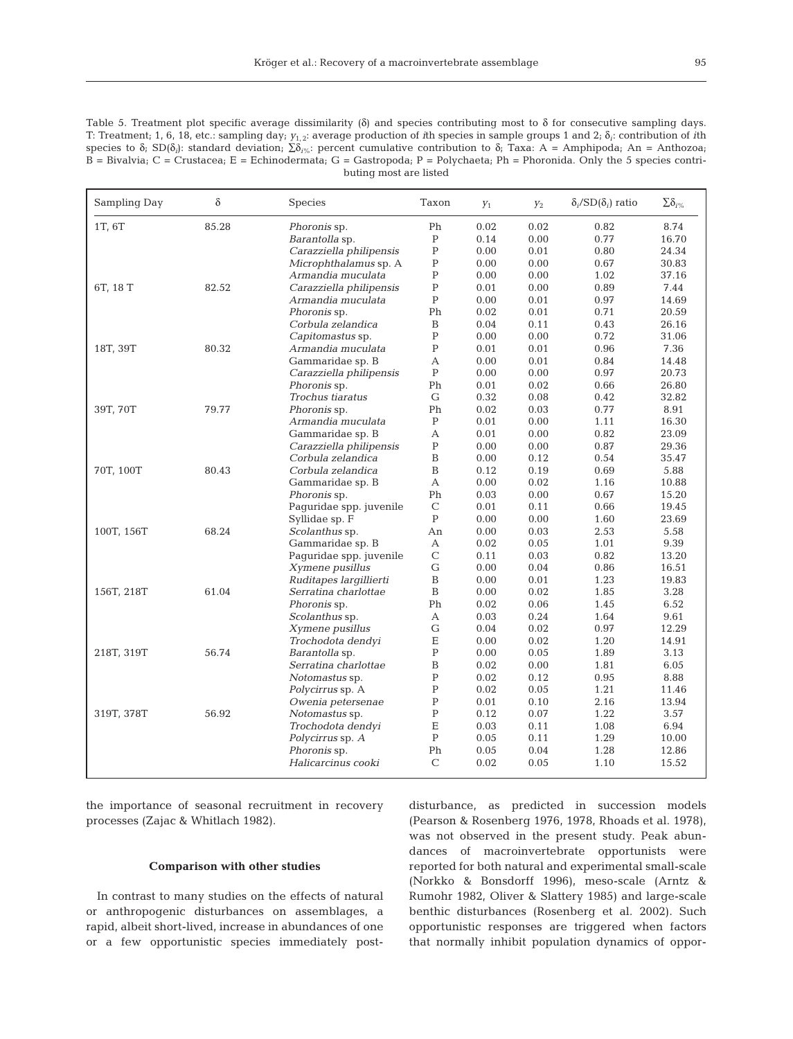Table 5. Treatment plot specific average dissimilarity (δ) and species contributing most to δ for consecutive sampling days. T: Treatment; 1, 6, 18, etc.: sampling day; *y*1, 2: average production of *i*th species in sample groups 1 and 2; δ*i*: contribution of *i*th species to δ; SD(δ<sub>*i*</sub>): standard deviation; Σδ<sub>*i*%</sub>: percent cumulative contribution to δ; Taxa: A = Amphipoda; An = Anthozoa;  $B = B$ ivalvia;  $C =$  Crustacea;  $E =$  Echinodermata;  $G =$  Gastropoda;  $P =$  Polychaeta;  $Ph =$  Phoronida. Only the 5 species contributing most are listed

| Sampling Day | δ     | <b>Species</b>                         | Taxon                    | $Y_1$        | $Y_2$        | $\delta_i$ /SD $(\delta_i)$ ratio | $\sum\!\delta_{i\%}$ |
|--------------|-------|----------------------------------------|--------------------------|--------------|--------------|-----------------------------------|----------------------|
| 1T, 6T       | 85.28 | Phoronis sp.                           | Ph                       | 0.02         | 0.02         | 0.82                              | 8.74                 |
|              |       | Barantolla sp.                         | $\, {\bf P}$             | 0.14         | 0.00         | 0.77                              | 16.70                |
|              |       | Carazziella philipensis                | $\, {\bf P}$             | 0.00         | 0.01         | 0.80                              | 24.34                |
|              |       | Microphthalamus sp. A                  | ${\bf P}$                | 0.00         | 0.00         | 0.67                              | 30.83                |
|              |       | Armandia muculata                      | $\mathbf P$              | 0.00         | 0.00         | 1.02                              | 37.16                |
| 6T, 18 T     | 82.52 | Carazziella philipensis                | $\mathbf P$              | 0.01         | 0.00         | 0.89                              | 7.44                 |
|              |       | Armandia muculata                      | $\mathbf P$              | 0.00         | 0.01         | 0.97                              | 14.69                |
|              |       | Phoronis sp.                           | Ph                       | 0.02         | 0.01         | 0.71                              | 20.59                |
|              |       | Corbula zelandica                      | B                        | 0.04         | 0.11         | 0.43                              | 26.16                |
|              |       | Capitomastus sp.                       | $\, {\bf P}$             | 0.00         | 0.00         | 0.72                              | 31.06                |
| 18T, 39T     | 80.32 | Armandia muculata                      | ${\bf P}$                | 0.01         | 0.01         | 0.96                              | 7.36                 |
|              |       | Gammaridae sp. B                       | А                        | 0.00         | 0.01         | 0.84                              | 14.48                |
|              |       | Carazziella philipensis                | $\mathbf P$              | 0.00         | 0.00         | 0.97                              | 20.73                |
|              |       | Phoronis sp.                           | Ph                       | 0.01         | 0.02         | 0.66                              | 26.80                |
|              |       | Trochus tiaratus                       | G                        | 0.32         | 0.08         | 0.42                              | 32.82                |
| 39T, 70T     | 79.77 | Phoronis sp.                           | Ph                       | 0.02         | 0.03         | 0.77                              | 8.91                 |
|              |       | Armandia muculata                      | $\mathbf P$              | 0.01         | 0.00         | 1.11                              | 16.30                |
|              |       | Gammaridae sp. B                       | А                        | 0.01         | 0.00         | 0.82                              | 23.09                |
|              |       | Carazziella philipensis                | $\mathbf P$              | 0.00         | 0.00         | 0.87                              | 29.36                |
|              |       | Corbula zelandica                      | B                        | 0.00         | 0.12         | 0.54                              | 35.47                |
| 70T, 100T    | 80.43 | Corbula zelandica                      | B                        | 0.12         | 0.19         | 0.69                              | 5.88                 |
|              |       | Gammaridae sp. B                       | А                        | 0.00         | 0.02         | 1.16                              | 10.88                |
|              |       | Phoronis sp.                           | Ph                       | 0.03         | 0.00         | 0.67                              | 15.20                |
|              |       | Paguridae spp. juvenile                | $\mathsf{C}$             | 0.01         | 0.11         | 0.66                              | 19.45                |
|              |       | Syllidae sp. F                         | $\mathbf P$              | 0.00         | 0.00         | 1.60                              | 23.69                |
| 100T, 156T   | 68.24 | Scolanthus sp.                         | An                       | 0.00         | 0.03         | 2.53                              | 5.58                 |
|              |       | Gammaridae sp. B                       | А                        | 0.02         | 0.05         | 1.01                              | 9.39                 |
|              |       | Paguridae spp. juvenile                | C                        | 0.11         | 0.03         | 0.82                              | 13.20                |
|              |       | Xymene pusillus                        | $\mathsf{G}$             | 0.00         | 0.04         | 0.86                              | 16.51                |
|              |       | Ruditapes largillierti                 | $\, {\bf B}$             | 0.00         | 0.01         | 1.23                              | 19.83                |
| 156T, 218T   | 61.04 | Serratina charlottae                   | B                        | 0.00         | 0.02         | 1.85                              | 3.28                 |
|              |       | Phoronis sp.                           | Ph                       | 0.02<br>0.03 | 0.06<br>0.24 | 1.45                              | 6.52                 |
|              |       | Scolanthus sp.                         | А                        |              |              | 1.64                              | 9.61                 |
|              |       | Xymene pusillus                        | ${\rm G}$<br>$\mathbf E$ | 0.04         | 0.02         | 0.97                              | 12.29                |
| 218T, 319T   | 56.74 | Trochodota dendyi                      | $\, {\bf P}$             | 0.00         | 0.02         | 1.20                              | 14.91                |
|              |       | Barantolla sp.<br>Serratina charlottae | $\, {\bf B}$             | 0.00<br>0.02 | 0.05<br>0.00 | 1.89<br>1.81                      | 3.13<br>6.05         |
|              |       |                                        | $\mathbf P$              | 0.02         | 0.12         | 0.95                              | 8.88                 |
|              |       | Notomastus sp.                         | $\, {\bf P}$             | 0.02         | 0.05         | 1.21                              | 11.46                |
|              |       | Polycirrus sp. A<br>Owenia petersenae  | $\mathbf P$              | 0.01         | 0.10         | 2.16                              | 13.94                |
| 319T, 378T   | 56.92 | Notomastus sp.                         | $\, {\bf P}$             | 0.12         | 0.07         | 1.22                              | 3.57                 |
|              |       | Trochodota dendyi                      | $\mathbf E$              | 0.03         | 0.11         | 1.08                              | 6.94                 |
|              |       | Polycirrus sp. A                       | $\mathbf P$              | 0.05         | 0.11         | 1.29                              | 10.00                |
|              |       | Phoronis sp.                           | Ph                       | 0.05         | 0.04         | 1.28                              | 12.86                |
|              |       | Halicarcinus cooki                     | $\mathcal{C}$            | 0.02         | 0.05         | 1.10                              | 15.52                |
|              |       |                                        |                          |              |              |                                   |                      |

the importance of seasonal recruitment in recovery processes (Zajac & Whitlach 1982).

# **Comparison with other studies**

In contrast to many studies on the effects of natural or anthropogenic disturbances on assemblages, a rapid, albeit short-lived, increase in abundances of one or a few opportunistic species immediately postdisturbance, as predicted in succession models (Pearson & Rosenberg 1976, 1978, Rhoads et al. 1978), was not observed in the present study. Peak abundances of macroinvertebrate opportunists were reported for both natural and experimental small-scale (Norkko & Bonsdorff 1996), meso-scale (Arntz & Rumohr 1982, Oliver & Slattery 1985) and large-scale benthic disturbances (Rosenberg et al. 2002). Such opportunistic responses are triggered when factors that normally inhibit population dynamics of oppor-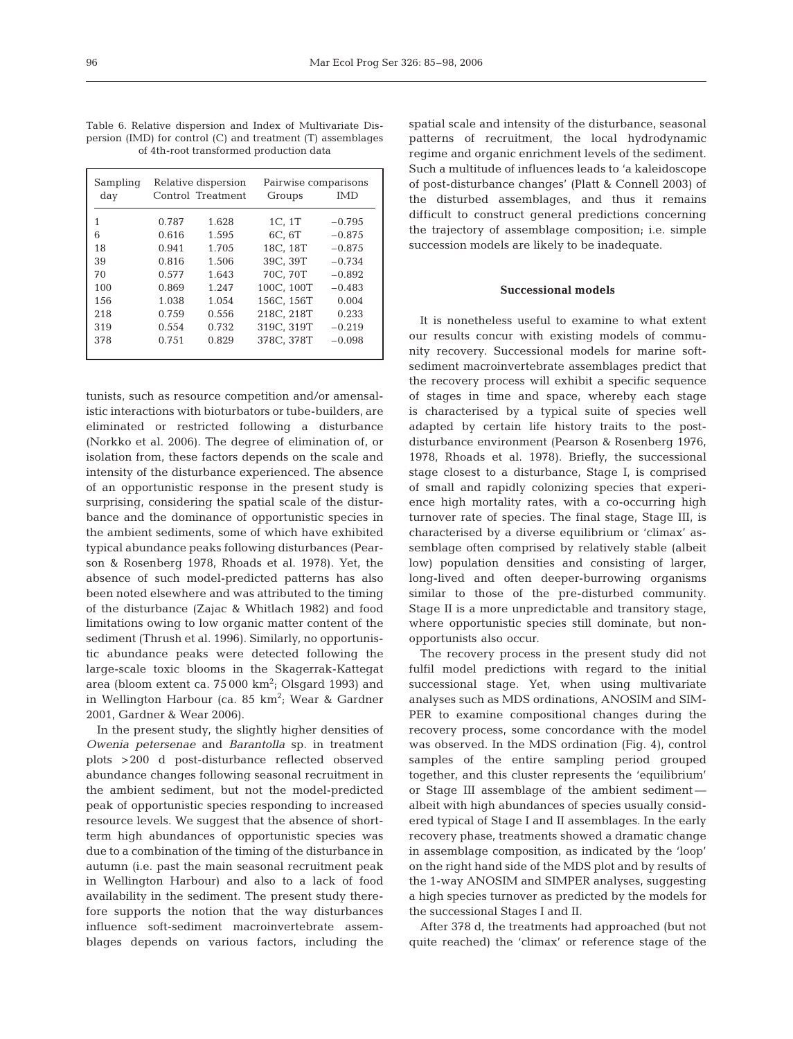|  | Table 6. Relative dispersion and Index of Multivariate Dis-       |  |  |  |
|--|-------------------------------------------------------------------|--|--|--|
|  | persion $(IMD)$ for control $(C)$ and treatment $(T)$ assemblages |  |  |  |
|  | of 4th-root transformed production data                           |  |  |  |

| Sampling |       | Relative dispersion | Pairwise comparisons |          |
|----------|-------|---------------------|----------------------|----------|
| day      |       | Control Treatment   | Groups               | IMD      |
| 1        | 0.787 | 1.628               | 1C. 1T               | $-0.795$ |
| 6        | 0.616 | 1.595               | 6C. 6T               | $-0.875$ |
| 18       | 0.941 | 1.705               | 18C. 18T             | $-0.875$ |
| 39       | 0.816 | 1.506               | 39C. 39T             | $-0.734$ |
| 70       | 0.577 | 1.643               | 70C. 70T             | $-0.892$ |
| 100      | 0.869 | 1.247               | 100C. 100T           | $-0.483$ |
| 156      | 1.038 | 1.054               | 156C. 156T           | 0.004    |
| 218      | 0.759 | 0.556               | 218C, 218T           | 0.233    |
| 319      | 0.554 | 0.732               | 319C, 319T           | $-0.219$ |
| 378      | 0.751 | 0.829               | 378C. 378T           | $-0.098$ |

tunists, such as resource competition and/or amensalistic interactions with bioturbators or tube-builders, are eliminated or restricted following a disturbance (Norkko et al. 2006). The degree of elimination of, or isolation from, these factors depends on the scale and intensity of the disturbance experienced. The absence of an opportunistic response in the present study is surprising, considering the spatial scale of the disturbance and the dominance of opportunistic species in the ambient sediments, some of which have exhibited typical abundance peaks following disturbances (Pearson & Rosenberg 1978, Rhoads et al. 1978). Yet, the absence of such model-predicted patterns has also been noted elsewhere and was attributed to the timing of the disturbance (Zajac & Whitlach 1982) and food limitations owing to low organic matter content of the sediment (Thrush et al. 1996). Similarly, no opportunistic abundance peaks were detected following the large-scale toxic blooms in the Skagerrak-Kattegat area (bloom extent ca.  $75\,000\ \text{km}^2$ ; Olsgard 1993) and in Wellington Harbour (ca. 85 km<sup>2</sup>; Wear & Gardner 2001, Gardner & Wear 2006).

In the present study, the slightly higher densities of *Owenia petersenae* and *Barantolla* sp. in treatment plots >200 d post-disturbance reflected observed abundance changes following seasonal recruitment in the ambient sediment, but not the model-predicted peak of opportunistic species responding to increased resource levels. We suggest that the absence of shortterm high abundances of opportunistic species was due to a combination of the timing of the disturbance in autumn (i.e. past the main seasonal recruitment peak in Wellington Harbour) and also to a lack of food availability in the sediment. The present study therefore supports the notion that the way disturbances influence soft-sediment macroinvertebrate assemblages depends on various factors, including the

spatial scale and intensity of the disturbance, seasonal patterns of recruitment, the local hydrodynamic regime and organic enrichment levels of the sediment. Such a multitude of influences leads to 'a kaleidoscope of post-disturbance changes' (Platt & Connell 2003) of the disturbed assemblages, and thus it remains difficult to construct general predictions concerning the trajectory of assemblage composition; i.e. simple succession models are likely to be inadequate.

## **Successional models**

It is nonetheless useful to examine to what extent our results concur with existing models of community recovery. Successional models for marine softsediment macroinvertebrate assemblages predict that the recovery process will exhibit a specific sequence of stages in time and space, whereby each stage is characterised by a typical suite of species well adapted by certain life history traits to the postdisturbance environment (Pearson & Rosenberg 1976, 1978, Rhoads et al. 1978). Briefly, the successional stage closest to a disturbance, Stage I, is comprised of small and rapidly colonizing species that experience high mortality rates, with a co-occurring high turnover rate of species. The final stage, Stage III, is characterised by a diverse equilibrium or 'climax' assemblage often comprised by relatively stable (albeit low) population densities and consisting of larger, long-lived and often deeper-burrowing organisms similar to those of the pre-disturbed community. Stage II is a more unpredictable and transitory stage, where opportunistic species still dominate, but nonopportunists also occur.

The recovery process in the present study did not fulfil model predictions with regard to the initial successional stage. Yet, when using multivariate analyses such as MDS ordinations, ANOSIM and SIM-PER to examine compositional changes during the recovery process, some concordance with the model was observed. In the MDS ordination (Fig. 4), control samples of the entire sampling period grouped together, and this cluster represents the 'equilibrium' or Stage III assemblage of the ambient sediment albeit with high abundances of species usually considered typical of Stage I and II assemblages. In the early recovery phase, treatments showed a dramatic change in assemblage composition, as indicated by the 'loop' on the right hand side of the MDS plot and by results of the 1-way ANOSIM and SIMPER analyses, suggesting a high species turnover as predicted by the models for the successional Stages I and II.

After 378 d, the treatments had approached (but not quite reached) the 'climax' or reference stage of the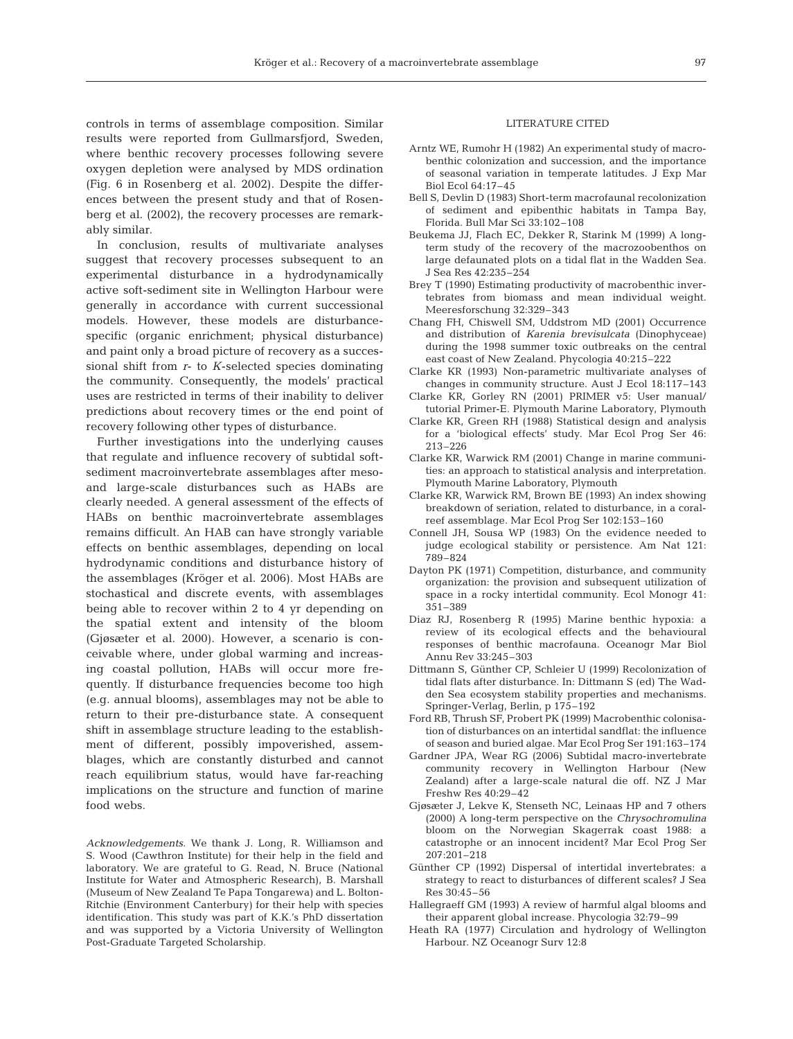controls in terms of assemblage composition. Similar results were reported from Gullmarsfjord, Sweden, where benthic recovery processes following severe oxygen depletion were analysed by MDS ordination (Fig. 6 in Rosenberg et al. 2002). Despite the differences between the present study and that of Rosenberg et al. (2002), the recovery processes are remarkably similar.

In conclusion, results of multivariate analyses suggest that recovery processes subsequent to an experimental disturbance in a hydrodynamically active soft-sediment site in Wellington Harbour were generally in accordance with current successional models. However, these models are disturbancespecific (organic enrichment; physical disturbance) and paint only a broad picture of recovery as a successional shift from *r*- to *K*-selected species dominating the community. Consequently, the models' practical uses are restricted in terms of their inability to deliver predictions about recovery times or the end point of recovery following other types of disturbance.

Further investigations into the underlying causes that regulate and influence recovery of subtidal softsediment macroinvertebrate assemblages after mesoand large-scale disturbances such as HABs are clearly needed. A general assessment of the effects of HABs on benthic macroinvertebrate assemblages remains difficult. An HAB can have strongly variable effects on benthic assemblages, depending on local hydrodynamic conditions and disturbance history of the assemblages (Kröger et al. 2006). Most HABs are stochastical and discrete events, with assemblages being able to recover within 2 to 4 yr depending on the spatial extent and intensity of the bloom (Gjøsæter et al. 2000). However, a scenario is conceivable where, under global warming and increasing coastal pollution, HABs will occur more frequently. If disturbance frequencies become too high (e.g. annual blooms), assemblages may not be able to return to their pre-disturbance state. A consequent shift in assemblage structure leading to the establishment of different, possibly impoverished, assemblages, which are constantly disturbed and cannot reach equilibrium status, would have far-reaching implications on the structure and function of marine food webs.

*Acknowledgements.* We thank J. Long, R. Williamson and S. Wood (Cawthron Institute) for their help in the field and laboratory. We are grateful to G. Read, N. Bruce (National Institute for Water and Atmospheric Research), B. Marshall (Museum of New Zealand Te Papa Tongarewa) and L. Bolton-Ritchie (Environment Canterbury) for their help with species identification. This study was part of K.K.'s PhD dissertation and was supported by a Victoria University of Wellington Post-Graduate Targeted Scholarship.

## LITERATURE CITED

- Arntz WE, Rumohr H (1982) An experimental study of macrobenthic colonization and succession, and the importance of seasonal variation in temperate latitudes. J Exp Mar Biol Ecol 64:17–45
- Bell S, Devlin D (1983) Short-term macrofaunal recolonization of sediment and epibenthic habitats in Tampa Bay, Florida. Bull Mar Sci 33:102–108
- Beukema JJ, Flach EC, Dekker R, Starink M (1999) A longterm study of the recovery of the macrozoobenthos on large defaunated plots on a tidal flat in the Wadden Sea. J Sea Res 42:235–254
- Brey T (1990) Estimating productivity of macrobenthic invertebrates from biomass and mean individual weight. Meeresforschung 32:329–343
- Chang FH, Chiswell SM, Uddstrom MD (2001) Occurrence and distribution of *Karenia brevisulcata* (Dinophyceae) during the 1998 summer toxic outbreaks on the central east coast of New Zealand. Phycologia 40:215–222
- Clarke KR (1993) Non-parametric multivariate analyses of changes in community structure. Aust J Ecol 18:117–143
- Clarke KR, Gorley RN (2001) PRIMER v5: User manual/ tutorial Primer-E. Plymouth Marine Laboratory, Plymouth
- Clarke KR, Green RH (1988) Statistical design and analysis for a 'biological effects' study. Mar Ecol Prog Ser 46: 213–226
- Clarke KR, Warwick RM (2001) Change in marine communities: an approach to statistical analysis and interpretation. Plymouth Marine Laboratory, Plymouth
- Clarke KR, Warwick RM, Brown BE (1993) An index showing breakdown of seriation, related to disturbance, in a coralreef assemblage. Mar Ecol Prog Ser 102:153–160
- Connell JH, Sousa WP (1983) On the evidence needed to judge ecological stability or persistence. Am Nat 121: 789–824
- Dayton PK (1971) Competition, disturbance, and community organization: the provision and subsequent utilization of space in a rocky intertidal community. Ecol Monogr 41: 351–389
- Diaz RJ, Rosenberg R (1995) Marine benthic hypoxia: a review of its ecological effects and the behavioural responses of benthic macrofauna. Oceanogr Mar Biol Annu Rev 33:245–303
- Dittmann S, Günther CP, Schleier U (1999) Recolonization of tidal flats after disturbance. In: Dittmann S (ed) The Wadden Sea ecosystem stability properties and mechanisms. Springer-Verlag, Berlin, p 175–192
- Ford RB, Thrush SF, Probert PK (1999) Macrobenthic colonisation of disturbances on an intertidal sandflat: the influence of season and buried algae. Mar Ecol Prog Ser 191:163–174
- Gardner JPA, Wear RG (2006) Subtidal macro-invertebrate community recovery in Wellington Harbour (New Zealand) after a large-scale natural die off. NZ J Mar Freshw Res 40:29–42
- Gjøsæter J, Lekve K, Stenseth NC, Leinaas HP and 7 others (2000) A long-term perspective on the *Chrysochromulina* bloom on the Norwegian Skagerrak coast 1988: a catastrophe or an innocent incident? Mar Ecol Prog Ser 207:201–218
- Günther CP (1992) Dispersal of intertidal invertebrates: a strategy to react to disturbances of different scales? J Sea Res 30:45–56
- Hallegraeff GM (1993) A review of harmful algal blooms and their apparent global increase. Phycologia 32:79–99
- Heath RA (1977) Circulation and hydrology of Wellington Harbour. NZ Oceanogr Surv 12:8